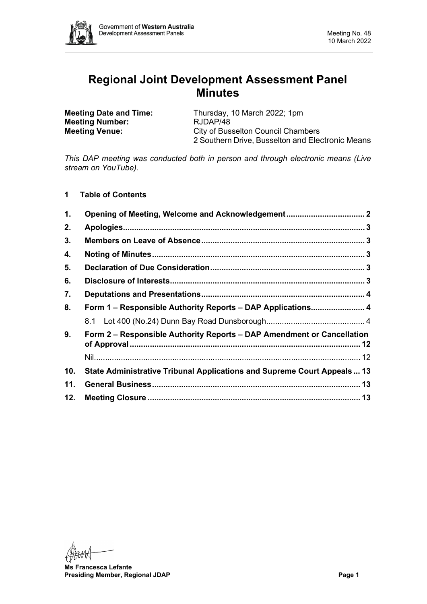

# **Regional Joint Development Assessment Panel Minutes**

| <b>Meeting Date and Time:</b> | Thursday, 10 March 2022; 1pm                     |
|-------------------------------|--------------------------------------------------|
| <b>Meeting Number:</b>        | RJDAP/48                                         |
| <b>Meeting Venue:</b>         | City of Busselton Council Chambers               |
|                               | 2 Southern Drive, Busselton and Electronic Means |

*This DAP meeting was conducted both in person and through electronic means (Live stream on YouTube).*

# **1 Table of Contents**

| $\mathbf 1$ . | Opening of Meeting, Welcome and Acknowledgement 2                       |  |  |
|---------------|-------------------------------------------------------------------------|--|--|
| 2.            |                                                                         |  |  |
| 3.            |                                                                         |  |  |
| 4.            |                                                                         |  |  |
| 5.            |                                                                         |  |  |
| 6.            |                                                                         |  |  |
| 7.            |                                                                         |  |  |
| 8.            | Form 1 - Responsible Authority Reports - DAP Applications 4             |  |  |
|               |                                                                         |  |  |
| 9.            | Form 2 - Responsible Authority Reports - DAP Amendment or Cancellation  |  |  |
|               |                                                                         |  |  |
| 10.           | State Administrative Tribunal Applications and Supreme Court Appeals 13 |  |  |
| 11.           |                                                                         |  |  |
| 12.           |                                                                         |  |  |

ttr

**Ms Francesca Lefante Presiding Member, Regional JDAP Page 1**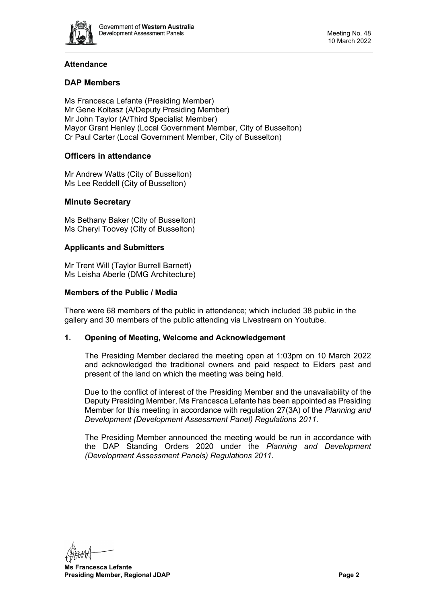

# **Attendance**

# **DAP Members**

Ms Francesca Lefante (Presiding Member) Mr Gene Koltasz (A/Deputy Presiding Member) Mr John Taylor (A/Third Specialist Member) Mayor Grant Henley (Local Government Member, City of Busselton) Cr Paul Carter (Local Government Member, City of Busselton)

# **Officers in attendance**

Mr Andrew Watts (City of Busselton) Ms Lee Reddell (City of Busselton)

### **Minute Secretary**

Ms Bethany Baker (City of Busselton) Ms Cheryl Toovey (City of Busselton)

### **Applicants and Submitters**

Mr Trent Will (Taylor Burrell Barnett) Ms Leisha Aberle (DMG Architecture)

#### **Members of the Public / Media**

There were 68 members of the public in attendance; which included 38 public in the gallery and 30 members of the public attending via Livestream on Youtube.

#### <span id="page-1-0"></span>**1. Opening of Meeting, Welcome and Acknowledgement**

The Presiding Member declared the meeting open at 1:03pm on 10 March 2022 and acknowledged the traditional owners and paid respect to Elders past and present of the land on which the meeting was being held.

Due to the conflict of interest of the Presiding Member and the unavailability of the Deputy Presiding Member, Ms Francesca Lefante has been appointed as Presiding Member for this meeting in accordance with regulation 27(3A) of the *Planning and Development (Development Assessment Panel) Regulations 2011*.

The Presiding Member announced the meeting would be run in accordance with the DAP Standing Orders 2020 under the *Planning and Development (Development Assessment Panels) Regulations 2011.*

**Ms Francesca Lefante Presiding Member, Regional JDAP Page 2 Page 2 Page 2**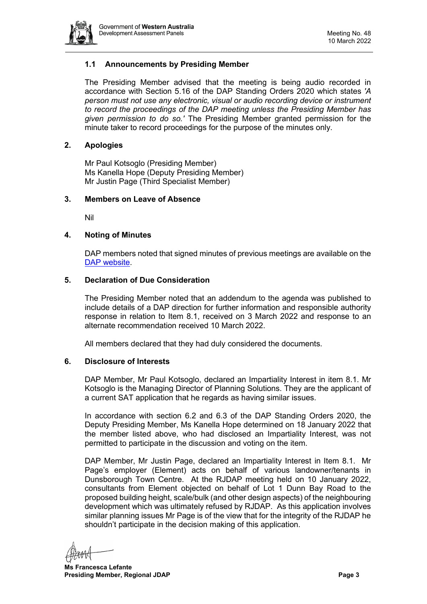

# **1.1 Announcements by Presiding Member**

The Presiding Member advised that the meeting is being audio recorded in accordance with Section 5.16 of the DAP Standing Orders 2020 which states *'A person must not use any electronic, visual or audio recording device or instrument to record the proceedings of the DAP meeting unless the Presiding Member has given permission to do so.'* The Presiding Member granted permission for the minute taker to record proceedings for the purpose of the minutes only.

### <span id="page-2-0"></span>**2. Apologies**

Mr Paul Kotsoglo (Presiding Member) Ms Kanella Hope (Deputy Presiding Member) Mr Justin Page (Third Specialist Member)

### <span id="page-2-1"></span>**3. Members on Leave of Absence**

Nil

### <span id="page-2-2"></span>**4. Noting of Minutes**

DAP members noted that signed minutes of previous meetings are available on the [DAP website.](https://www.dplh.wa.gov.au/about/development-assessment-panels/daps-agendas-and-minutes)

### <span id="page-2-3"></span>**5. Declaration of Due Consideration**

The Presiding Member noted that an addendum to the agenda was published to include details of a DAP direction for further information and responsible authority response in relation to Item 8.1, received on 3 March 2022 and response to an alternate recommendation received 10 March 2022.

All members declared that they had duly considered the documents.

#### <span id="page-2-4"></span>**6. Disclosure of Interests**

DAP Member, Mr Paul Kotsoglo, declared an Impartiality Interest in item 8.1. Mr Kotsoglo is the Managing Director of Planning Solutions. They are the applicant of a current SAT application that he regards as having similar issues.

In accordance with section 6.2 and 6.3 of the DAP Standing Orders 2020, the Deputy Presiding Member, Ms Kanella Hope determined on 18 January 2022 that the member listed above, who had disclosed an Impartiality Interest, was not permitted to participate in the discussion and voting on the item.

DAP Member, Mr Justin Page, declared an Impartiality Interest in Item 8.1. Mr Page's employer (Element) acts on behalf of various landowner/tenants in Dunsborough Town Centre. At the RJDAP meeting held on 10 January 2022, consultants from Element objected on behalf of Lot 1 Dunn Bay Road to the proposed building height, scale/bulk (and other design aspects) of the neighbouring development which was ultimately refused by RJDAP. As this application involves similar planning issues Mr Page is of the view that for the integrity of the RJDAP he shouldn't participate in the decision making of this application.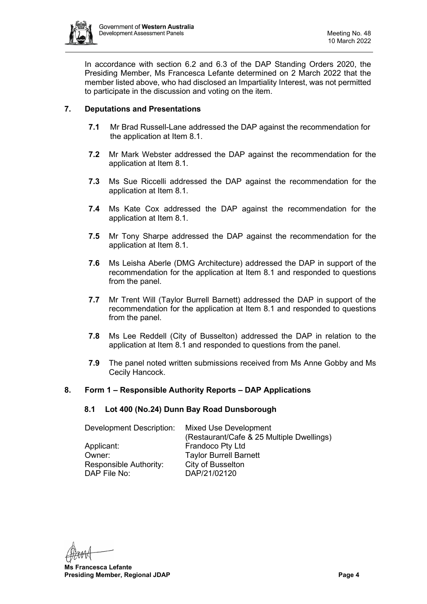

In accordance with section 6.2 and 6.3 of the DAP Standing Orders 2020, the Presiding Member, Ms Francesca Lefante determined on 2 March 2022 that the member listed above, who had disclosed an Impartiality Interest, was not permitted to participate in the discussion and voting on the item.

# <span id="page-3-0"></span>**7. Deputations and Presentations**

- **7.1** Mr Brad Russell-Lane addressed the DAP against the recommendation for the application at Item 8.1.
- **7.2** Mr Mark Webster addressed the DAP against the recommendation for the application at Item 8.1.
- **7.3** Ms Sue Riccelli addressed the DAP against the recommendation for the application at Item 8.1.
- **7.4** Ms Kate Cox addressed the DAP against the recommendation for the application at Item 8.1.
- **7.5** Mr Tony Sharpe addressed the DAP against the recommendation for the application at Item 8.1.
- **7.6** Ms Leisha Aberle (DMG Architecture) addressed the DAP in support of the recommendation for the application at Item 8.1 and responded to questions from the panel.
- **7.7** Mr Trent Will (Taylor Burrell Barnett) addressed the DAP in support of the recommendation for the application at Item 8.1 and responded to questions from the panel.
- **7.8** Ms Lee Reddell (City of Busselton) addressed the DAP in relation to the application at Item 8.1 and responded to questions from the panel.
- **7.9** The panel noted written submissions received from Ms Anne Gobby and Ms Cecily Hancock.

# <span id="page-3-2"></span><span id="page-3-1"></span>**8. Form 1 – Responsible Authority Reports – DAP Applications**

#### **8.1 Lot 400 (No.24) Dunn Bay Road Dunsborough**

| Development Description: | <b>Mixed Use Development</b>              |  |
|--------------------------|-------------------------------------------|--|
|                          | (Restaurant/Cafe & 25 Multiple Dwellings) |  |
| Applicant:               | Frandoco Pty Ltd                          |  |
| Owner:                   | <b>Taylor Burrell Barnett</b>             |  |
| Responsible Authority:   | City of Busselton                         |  |
| DAP File No:             | DAP/21/02120                              |  |

**Ms Francesca Lefante Presiding Member, Regional JDAP Page 4 Page 4 Page 4 Page 4**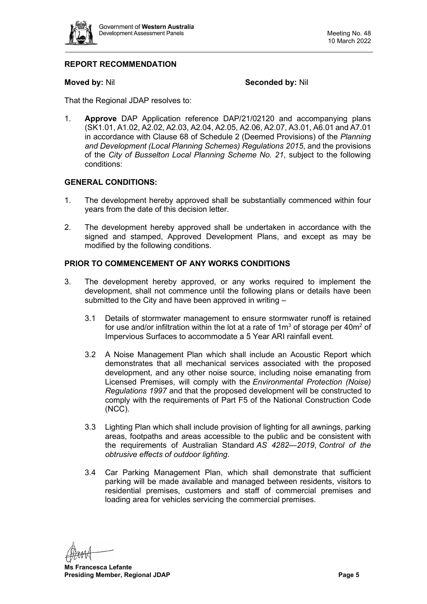

# **REPORT RECOMMENDATION**

#### **Moved by: Nil <b>Seconded by: Nil** Seconded by: Nil

That the Regional JDAP resolves to:

1. **Approve** DAP Application reference DAP/21/02120 and accompanying plans (SK1.01, A1.02, A2.02, A2.03, A2.04, A2.05, A2.06, A2.07, A3.01, A6.01 and A7.01 in accordance with Clause 68 of Schedule 2 (Deemed Provisions) of the *Planning and Development (Local Planning Schemes) Regulations 2015*, and the provisions of the *City of Busselton Local Planning Scheme No. 21*, subject to the following conditions:

### **GENERAL CONDITIONS:**

- 1. The development hereby approved shall be substantially commenced within four years from the date of this decision letter.
- 2. The development hereby approved shall be undertaken in accordance with the signed and stamped, Approved Development Plans, and except as may be modified by the following conditions.

# **PRIOR TO COMMENCEMENT OF ANY WORKS CONDITIONS**

- 3. The development hereby approved, or any works required to implement the development, shall not commence until the following plans or details have been submitted to the City and have been approved in writing –
	- 3.1 Details of stormwater management to ensure stormwater runoff is retained for use and/or infiltration within the lot at a rate of  $1m<sup>3</sup>$  of storage per 40 $m<sup>2</sup>$  of Impervious Surfaces to accommodate a 5 Year ARI rainfall event.
	- 3.2 A Noise Management Plan which shall include an Acoustic Report which demonstrates that all mechanical services associated with the proposed development, and any other noise source, including noise emanating from Licensed Premises, will comply with the *Environmental Protection (Noise) Regulations 1997* and that the proposed development will be constructed to comply with the requirements of Part F5 of the National Construction Code (NCC).
	- 3.3 Lighting Plan which shall include provision of lighting for all awnings, parking areas, footpaths and areas accessible to the public and be consistent with the requirements of Australian Standard *AS 4282—2019*, *Control of the obtrusive effects of outdoor lighting*.
	- 3.4 Car Parking Management Plan, which shall demonstrate that sufficient parking will be made available and managed between residents, visitors to residential premises, customers and staff of commercial premises and loading area for vehicles servicing the commercial premises.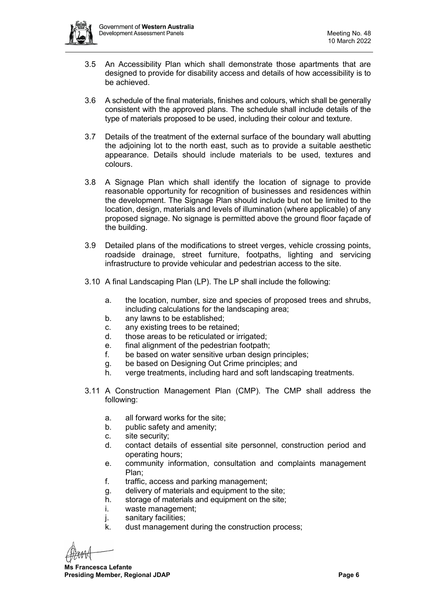

- 3.5 An Accessibility Plan which shall demonstrate those apartments that are designed to provide for disability access and details of how accessibility is to be achieved.
- 3.6 A schedule of the final materials, finishes and colours, which shall be generally consistent with the approved plans. The schedule shall include details of the type of materials proposed to be used, including their colour and texture.
- 3.7 Details of the treatment of the external surface of the boundary wall abutting the adjoining lot to the north east, such as to provide a suitable aesthetic appearance. Details should include materials to be used, textures and colours.
- 3.8 A Signage Plan which shall identify the location of signage to provide reasonable opportunity for recognition of businesses and residences within the development. The Signage Plan should include but not be limited to the location, design, materials and levels of illumination (where applicable) of any proposed signage. No signage is permitted above the ground floor façade of the building.
- 3.9 Detailed plans of the modifications to street verges, vehicle crossing points, roadside drainage, street furniture, footpaths, lighting and servicing infrastructure to provide vehicular and pedestrian access to the site.
- 3.10 A final Landscaping Plan (LP). The LP shall include the following:
	- a. the location, number, size and species of proposed trees and shrubs, including calculations for the landscaping area;
	- b. any lawns to be established;
	- c. any existing trees to be retained;
	- d. those areas to be reticulated or irrigated;
	- e. final alignment of the pedestrian footpath;
	- f. be based on water sensitive urban design principles;
	- g. be based on Designing Out Crime principles; and
	- h. verge treatments, including hard and soft landscaping treatments.
- 3.11 A Construction Management Plan (CMP). The CMP shall address the following:
	- a. all forward works for the site;
	- b. public safety and amenity;
	- c. site security;
	- d. contact details of essential site personnel, construction period and operating hours;
	- e. community information, consultation and complaints management Plan;
	- f. traffic, access and parking management;
	- g. delivery of materials and equipment to the site;
	- h. storage of materials and equipment on the site;
	- i. waste management;
	- j. sanitary facilities;
	- k. dust management during the construction process;

**Ms Francesca Lefante Presiding Member, Regional JDAP Page 6 Page 6 Page 6 Page 6 Page 6 Page 6**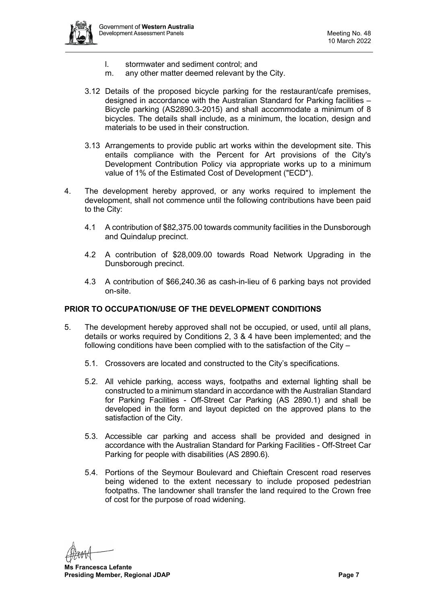

- l. stormwater and sediment control; and
- m. any other matter deemed relevant by the City.
- 3.12 Details of the proposed bicycle parking for the restaurant/cafe premises, designed in accordance with the Australian Standard for Parking facilities – Bicycle parking (AS2890.3-2015) and shall accommodate a minimum of 8 bicycles. The details shall include, as a minimum, the location, design and materials to be used in their construction.
- 3.13 Arrangements to provide public art works within the development site. This entails compliance with the Percent for Art provisions of the City's Development Contribution Policy via appropriate works up to a minimum value of 1% of the Estimated Cost of Development ("ECD").
- 4. The development hereby approved, or any works required to implement the development, shall not commence until the following contributions have been paid to the City:
	- 4.1 A contribution of \$82,375.00 towards community facilities in the Dunsborough and Quindalup precinct.
	- 4.2 A contribution of \$28,009.00 towards Road Network Upgrading in the Dunsborough precinct.
	- 4.3 A contribution of \$66,240.36 as cash-in-lieu of 6 parking bays not provided on-site.

# **PRIOR TO OCCUPATION/USE OF THE DEVELOPMENT CONDITIONS**

- 5. The development hereby approved shall not be occupied, or used, until all plans, details or works required by Conditions 2, 3 & 4 have been implemented; and the following conditions have been complied with to the satisfaction of the City –
	- 5.1. Crossovers are located and constructed to the City's specifications.
	- 5.2. All vehicle parking, access ways, footpaths and external lighting shall be constructed to a minimum standard in accordance with the Australian Standard for Parking Facilities - Off-Street Car Parking (AS 2890.1) and shall be developed in the form and layout depicted on the approved plans to the satisfaction of the City.
	- 5.3. Accessible car parking and access shall be provided and designed in accordance with the Australian Standard for Parking Facilities - Off-Street Car Parking for people with disabilities (AS 2890.6).
	- 5.4. Portions of the Seymour Boulevard and Chieftain Crescent road reserves being widened to the extent necessary to include proposed pedestrian footpaths. The landowner shall transfer the land required to the Crown free of cost for the purpose of road widening.

**Ms Francesca Lefante Presiding Member, Regional JDAP Page 7 Page 7 Page 7**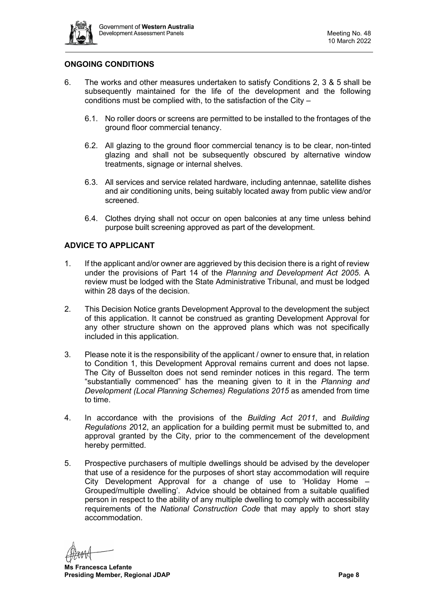

# **ONGOING CONDITIONS**

- 6. The works and other measures undertaken to satisfy Conditions 2, 3 & 5 shall be subsequently maintained for the life of the development and the following conditions must be complied with, to the satisfaction of the City –
	- 6.1. No roller doors or screens are permitted to be installed to the frontages of the ground floor commercial tenancy.
	- 6.2. All glazing to the ground floor commercial tenancy is to be clear, non-tinted glazing and shall not be subsequently obscured by alternative window treatments, signage or internal shelves.
	- 6.3. All services and service related hardware, including antennae, satellite dishes and air conditioning units, being suitably located away from public view and/or screened.
	- 6.4. Clothes drying shall not occur on open balconies at any time unless behind purpose built screening approved as part of the development.

# **ADVICE TO APPLICANT**

- 1. If the applicant and/or owner are aggrieved by this decision there is a right of review under the provisions of Part 14 of the *Planning and Development Act 2005*. A review must be lodged with the State Administrative Tribunal, and must be lodged within 28 days of the decision.
- 2. This Decision Notice grants Development Approval to the development the subject of this application. It cannot be construed as granting Development Approval for any other structure shown on the approved plans which was not specifically included in this application.
- 3. Please note it is the responsibility of the applicant / owner to ensure that, in relation to Condition 1, this Development Approval remains current and does not lapse. The City of Busselton does not send reminder notices in this regard. The term "substantially commenced" has the meaning given to it in the *Planning and Development (Local Planning Schemes) Regulations 2015* as amended from time to time.
- 4. In accordance with the provisions of the *Building Act 2011*, and *Building Regulations 2*012, an application for a building permit must be submitted to, and approval granted by the City, prior to the commencement of the development hereby permitted.
- 5. Prospective purchasers of multiple dwellings should be advised by the developer that use of a residence for the purposes of short stay accommodation will require City Development Approval for a change of use to 'Holiday Home – Grouped/multiple dwelling'. Advice should be obtained from a suitable qualified person in respect to the ability of any multiple dwelling to comply with accessibility requirements of the *National Construction Code* that may apply to short stay accommodation.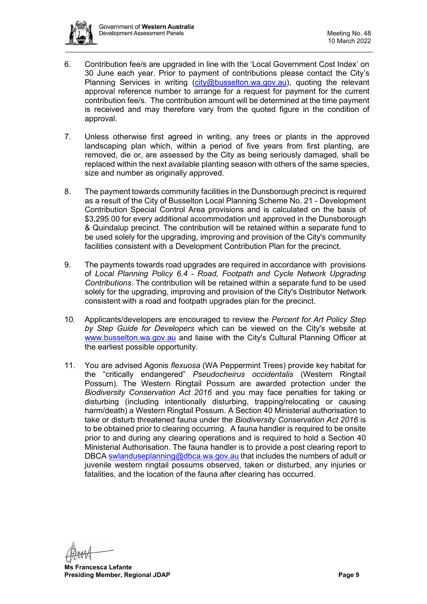

- 6. Contribution fee/s are upgraded in line with the 'Local Government Cost Index' on 30 June each year. Prior to payment of contributions please contact the City's Planning Services in writing  $\frac{\text{city@busselton.wa.gov.au}}{\text{city@busselton.wa.gov.au}}$ , quoting the relevant approval reference number to arrange for a request for payment for the current contribution fee/s. The contribution amount will be determined at the time payment is received and may therefore vary from the quoted figure in the condition of approval.
- 7. Unless otherwise first agreed in writing, any trees or plants in the approved landscaping plan which, within a period of five years from first planting, are removed, die or, are assessed by the City as being seriously damaged, shall be replaced within the next available planting season with others of the same species, size and number as originally approved.
- 8. The payment towards community facilities in the Dunsborough precinct is required as a result of the City of Busselton Local Planning Scheme No. 21 - Development Contribution Special Control Area provisions and is calculated on the basis of \$3,295.00 for every additional accommodation unit approved in the Dunsborough & Quindalup precinct. The contribution will be retained within a separate fund to be used solely for the upgrading, improving and provision of the City's community facilities consistent with a Development Contribution Plan for the precinct.
- 9. The payments towards road upgrades are required in accordance with provisions of *Local Planning Policy 6.4 - Road, Footpath and Cycle Network Upgrading Contributions*. The contribution will be retained within a separate fund to be used solely for the upgrading, improving and provision of the City's Distributor Network consistent with a road and footpath upgrades plan for the precinct.
- 10. Applicants/developers are encouraged to review the *Percent for Art Policy Step by Step Guide for Developers* which can be viewed on the City's website at [www.busselton.wa.gov.au](http://www.busselton.wa.gov.au/) and liaise with the City's Cultural Planning Officer at the earliest possible opportunity.
- 11. You are advised Agonis *flexuosa* (WA Peppermint Trees) provide key habitat for the "critically endangered" *Pseudocheirus occidentalis* (Western Ringtail Possum). The Western Ringtail Possum are awarded protection under the *Biodiversity Conservation Act 2016* and you may face penalties for taking or disturbing (including intentionally disturbing, trapping/relocating or causing harm/death) a Western Ringtail Possum. A Section 40 Ministerial authorisation to take or disturb threatened fauna under the *Biodiversity Conservation Act 2016* is to be obtained prior to clearing occurring. A fauna handler is required to be onsite prior to and during any clearing operations and is required to hold a Section 40 Ministerial Authorisation. The fauna handler is to provide a post clearing report to DBCA [swlanduseplanning@dbca.wa.gov.au](mailto:swlanduseplanning@dbca.wa.gov.au) that includes the numbers of adult or juvenile western ringtail possums observed, taken or disturbed, any injuries or fatalities, and the location of the fauna after clearing has occurred.

**Ms Francesca Lefante Presiding Member, Regional JDAP Page 9 Page 9**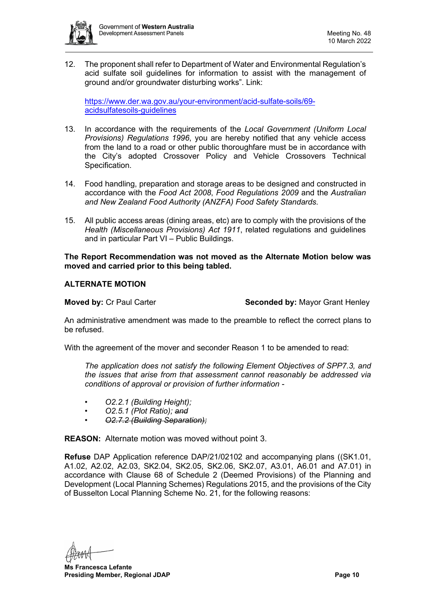

12. The proponent shall refer to Department of Water and Environmental Regulation's acid sulfate soil guidelines for information to assist with the management of ground and/or groundwater disturbing works". Link:

[https://www.der.wa.gov.au/your-environment/acid-sulfate-soils/69](https://www.der.wa.gov.au/your-environment/acid-sulfate-soils/69-acidsulfatesoils-guidelines) [acidsulfatesoils-guidelines](https://www.der.wa.gov.au/your-environment/acid-sulfate-soils/69-acidsulfatesoils-guidelines)

- 13. In accordance with the requirements of the *Local Government (Uniform Local Provisions) Regulations 1996*, you are hereby notified that any vehicle access from the land to a road or other public thoroughfare must be in accordance with the City's adopted Crossover Policy and Vehicle Crossovers Technical Specification.
- 14. Food handling, preparation and storage areas to be designed and constructed in accordance with the *Food Act 2008*, *Food Regulations 2009* and the *Australian and New Zealand Food Authority (ANZFA) Food Safety Standards.*
- 15. All public access areas (dining areas, etc) are to comply with the provisions of the *Health (Miscellaneous Provisions) Act 1911*, related regulations and guidelines and in particular Part VI – Public Buildings.

**The Report Recommendation was not moved as the Alternate Motion below was moved and carried prior to this being tabled.**

# **ALTERNATE MOTION**

**Moved by: Cr Paul Carter <b>Seconded by:** Mayor Grant Henley

An administrative amendment was made to the preamble to reflect the correct plans to be refused.

With the agreement of the mover and seconder Reason 1 to be amended to read:

*The application does not satisfy the following Element Objectives of SPP7.3, and the issues that arise from that assessment cannot reasonably be addressed via conditions of approval or provision of further information -*

- *• O2.2.1 (Building Height);*
- *• O2.5.1 (Plot Ratio); and*
- *• O2.7.2 (Building Separation);*

**REASON:** Alternate motion was moved without point 3.

**Refuse** DAP Application reference DAP/21/02102 and accompanying plans ((SK1.01, A1.02, A2.02, A2.03, SK2.04, SK2.05, SK2.06, SK2.07, A3.01, A6.01 and A7.01) in accordance with Clause 68 of Schedule 2 (Deemed Provisions) of the Planning and Development (Local Planning Schemes) Regulations 2015, and the provisions of the City of Busselton Local Planning Scheme No. 21, for the following reasons:

**Ms Francesca Lefante Presiding Member, Regional JDAP Page 10**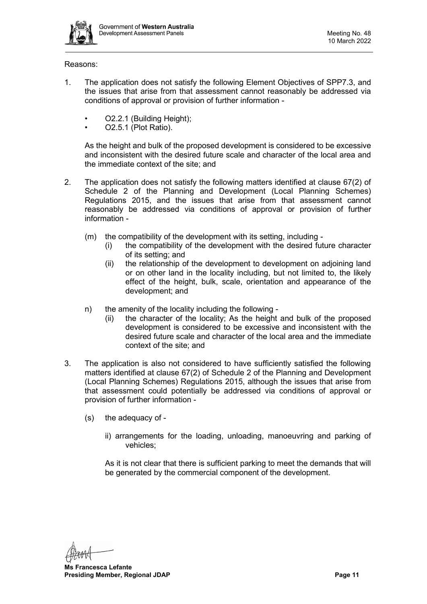

Reasons:

- 1. The application does not satisfy the following Element Objectives of SPP7.3, and the issues that arise from that assessment cannot reasonably be addressed via conditions of approval or provision of further information -
	- O2.2.1 (Building Height);
	- O2.5.1 (Plot Ratio).

As the height and bulk of the proposed development is considered to be excessive and inconsistent with the desired future scale and character of the local area and the immediate context of the site; and

- 2. The application does not satisfy the following matters identified at clause 67(2) of Schedule 2 of the Planning and Development (Local Planning Schemes) Regulations 2015, and the issues that arise from that assessment cannot reasonably be addressed via conditions of approval or provision of further information -
	- (m) the compatibility of the development with its setting, including
		- (i) the compatibility of the development with the desired future character of its setting; and
		- (ii) the relationship of the development to development on adjoining land or on other land in the locality including, but not limited to, the likely effect of the height, bulk, scale, orientation and appearance of the development; and
	- n) the amenity of the locality including the following
		- (ii) the character of the locality; As the height and bulk of the proposed development is considered to be excessive and inconsistent with the desired future scale and character of the local area and the immediate context of the site; and
- 3. The application is also not considered to have sufficiently satisfied the following matters identified at clause 67(2) of Schedule 2 of the Planning and Development (Local Planning Schemes) Regulations 2015, although the issues that arise from that assessment could potentially be addressed via conditions of approval or provision of further information -
	- (s) the adequacy of
		- ii) arrangements for the loading, unloading, manoeuvring and parking of vehicles;

As it is not clear that there is sufficient parking to meet the demands that will be generated by the commercial component of the development.

**Ms Francesca Lefante Presiding Member, Regional JDAP Page 11 Page 11**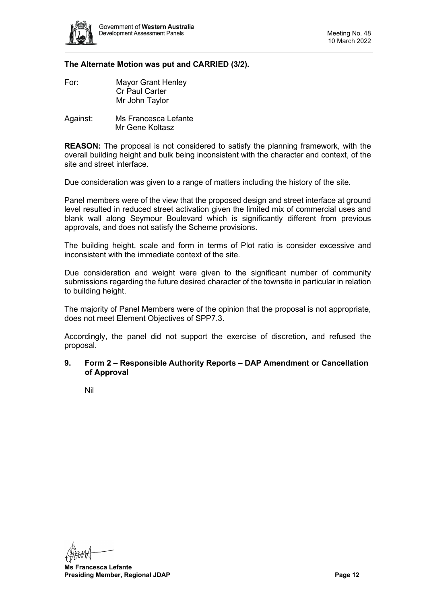

### **The Alternate Motion was put and CARRIED (3/2).**

- For: Mayor Grant Henley Cr Paul Carter Mr John Taylor
- Against: Ms Francesca Lefante Mr Gene Koltasz

**REASON:** The proposal is not considered to satisfy the planning framework, with the overall building height and bulk being inconsistent with the character and context, of the site and street interface.

Due consideration was given to a range of matters including the history of the site.

Panel members were of the view that the proposed design and street interface at ground level resulted in reduced street activation given the limited mix of commercial uses and blank wall along Seymour Boulevard which is significantly different from previous approvals, and does not satisfy the Scheme provisions.

The building height, scale and form in terms of Plot ratio is consider excessive and inconsistent with the immediate context of the site.

Due consideration and weight were given to the significant number of community submissions regarding the future desired character of the townsite in particular in relation to building height.

The majority of Panel Members were of the opinion that the proposal is not appropriate, does not meet Element Objectives of SPP7.3.

Accordingly, the panel did not support the exercise of discretion, and refused the proposal.

<span id="page-11-0"></span>**9. Form 2 – Responsible Authority Reports – DAP Amendment or Cancellation of Approval**

<span id="page-11-1"></span>Nil

**Ms Francesca Lefante Presiding Member, Regional JDAP Page 12 Page 12 Page 12**